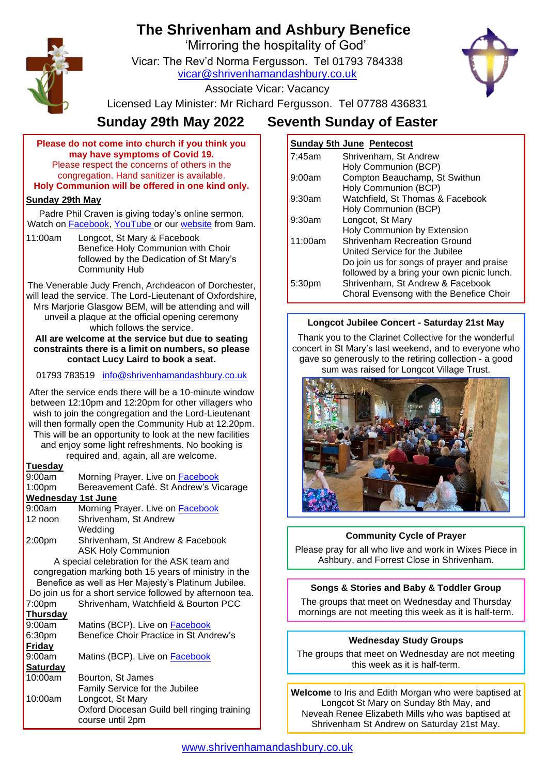# **The Shrivenham and Ashbury Benefice**

'Mirroring the hospitality of God'

Vicar: The Rev'd Norma Fergusson. Tel 01793 784338 [vicar@shrivenhamandashbury.co.uk](mailto:vicar@shrivenhamandashbury.co.uk)



Associate Vicar: Vacancy

Licensed Lay Minister: Mr Richard Fergusson. Tel 07788 436831

## **Sunday 29th May 2022 Seventh Sunday of Easter**

**Please do not come into church if you think you may have symptoms of Covid 19.** Please respect the concerns of others in the congregation. Hand sanitizer is available.

**Holy Communion will be offered in one kind only.**

## **Sunday 29th May**

Padre Phil Craven is giving today's online sermon. Watch on [Facebook,](https://www.facebook.com/shrivenhamandashbury/videos/) [YouTube](https://www.youtube.com/channel/UCEggTi-rB5GB9AQzwETv4-Q/videos) or our [website](http://www.shrivenhamandashbury.co.uk/) from 9am.

11:00am Longcot, St Mary & Facebook Benefice Holy Communion with Choir followed by the Dedication of St Mary's Community Hub

The Venerable Judy French, Archdeacon of Dorchester, will lead the service. The Lord-Lieutenant of Oxfordshire, Mrs Marjorie Glasgow BEM, will be attending and will unveil a plaque at the official opening ceremony which follows the service.

**All are welcome at the service but due to seating constraints there is a limit on numbers, so please contact Lucy Laird to book a seat.**

01793 783519 [info@shrivenhamandashbury.co.uk](mailto:info@shrivenhamandashbury.co.uk)

After the service ends there will be a 10-minute window between 12:10pm and 12:20pm for other villagers who wish to join the congregation and the Lord-Lieutenant will then formally open the Community Hub at 12.20pm. This will be an opportunity to look at the new facilities and enjoy some light refreshments. No booking is required and, again, all are welcome.

## **Tuesday**

| $\sim$                                                |                                                           |  |  |
|-------------------------------------------------------|-----------------------------------------------------------|--|--|
| 9:00am                                                | Morning Prayer. Live on <b>Facebook</b>                   |  |  |
| 1:00 <sub>pm</sub>                                    | Bereavement Café. St Andrew's Vicarage                    |  |  |
| <b>Wednesday 1st June</b>                             |                                                           |  |  |
| 9:00am                                                | Morning Prayer. Live on <b>Facebook</b>                   |  |  |
| 12 noon                                               | Shrivenham, St Andrew                                     |  |  |
|                                                       | Wedding                                                   |  |  |
| 2:00 <sub>pm</sub>                                    | Shrivenham, St Andrew & Facebook                          |  |  |
|                                                       | <b>ASK Holy Communion</b>                                 |  |  |
| A special celebration for the ASK team and            |                                                           |  |  |
| congregation marking both 15 years of ministry in the |                                                           |  |  |
|                                                       | Benefice as well as Her Majesty's Platinum Jubilee.       |  |  |
|                                                       | Do join us for a short service followed by afternoon tea. |  |  |
| 7:00pm                                                | Shrivenham, Watchfield & Bourton PCC                      |  |  |
| <b>Thursday</b>                                       |                                                           |  |  |
| 9:00am                                                | Matins (BCP). Live on <b>Facebook</b>                     |  |  |
| 6:30pm                                                | Benefice Choir Practice in St Andrew's                    |  |  |
| <b>Friday</b>                                         |                                                           |  |  |
| 9:00am                                                | Matins (BCP). Live on <b>Facebook</b>                     |  |  |
| <b>Saturday</b>                                       |                                                           |  |  |
| 10:00am                                               | Bourton, St James                                         |  |  |
|                                                       | Family Service for the Jubilee                            |  |  |
| 10:00am                                               | Longcot, St Mary                                          |  |  |
|                                                       | Oxford Diocesan Guild bell ringing training               |  |  |
|                                                       | course until 2pm                                          |  |  |
|                                                       |                                                           |  |  |

## **Sunday 5th June Pentecost**

|           | <b>Sunday Still Strip II</b> Gilt Good     |
|-----------|--------------------------------------------|
| 7:45am    | Shrivenham, St Andrew                      |
|           | Holy Communion (BCP)                       |
| 9:00am    | Compton Beauchamp, St Swithun              |
|           | Holy Communion (BCP)                       |
| $9:30$ am | Watchfield, St Thomas & Facebook           |
|           | Holy Communion (BCP)                       |
| $9:30$ am | Longcot, St Mary                           |
|           | Holy Communion by Extension                |
| 11:00am   | <b>Shrivenham Recreation Ground</b>        |
|           | United Service for the Jubilee             |
|           | Do join us for songs of prayer and praise  |
|           | followed by a bring your own picnic lunch. |
| 5:30pm    | Shrivenham, St Andrew & Facebook           |
|           | Choral Evensong with the Benefice Choir    |
|           |                                            |

## **Longcot Jubilee Concert - Saturday 21st May**

Thank you to the Clarinet Collective for the wonderful concert in St Mary's last weekend, and to everyone who gave so generously to the retiring collection - a good sum was raised for Longcot Village Trust.



## **Community Cycle of Prayer**

Please pray for all who live and work in Wixes Piece in Ashbury, and Forrest Close in Shrivenham.

## **Songs & Stories and Baby & Toddler Group**

The groups that meet on Wednesday and Thursday mornings are not meeting this week as it is half-term.

#### **Wednesday Study Groups**

The groups that meet on Wednesday are not meeting this week as it is half-term.

**Welcome** to Iris and Edith Morgan who were baptised at Longcot St Mary on Sunday 8th May, and Neveah Renee Elizabeth Mills who was baptised at Shrivenham St Andrew on Saturday 21st May.